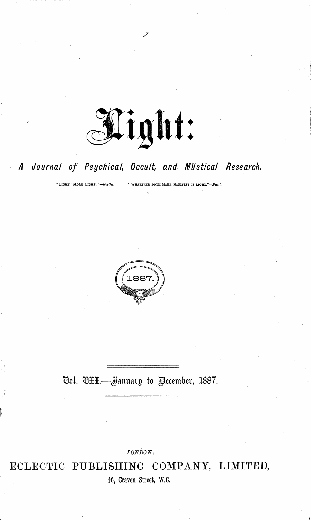

#### Journal of Psychical, Occult, and Mystical Research. A

"LIGHT ! MORE LIGHT !"-Goethe.

"WHATEVER DOTH MAKE MANIFEST IS LIGHT."-Paul.



## <u> Ool.</u> OHH.—January to December, 1887.

 $LONDOM$ :

ECLECTIC PUBLISHING COMPANY, LIMITED,

16, Craven Street, W.C.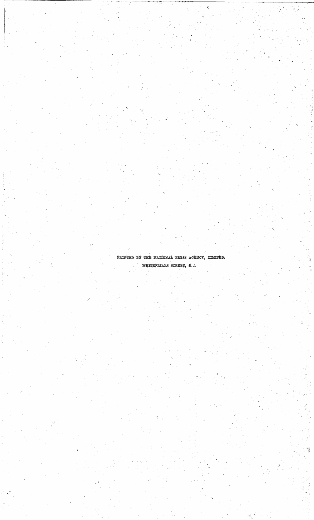PRINTED BY THE NATIONAL PRESS AGENCY, LIMITED, WHITEFRIARS STREET, E.C.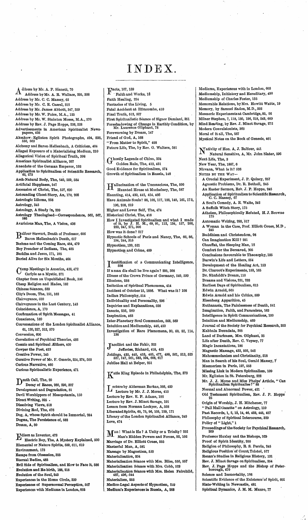$A$ <sup>ddress</sup> by Mr. A. P. Sinnett, 70  $A_{\text{Address by Mr. A. R. Wallace, 295, 308}}$ Address by Mr. C. C. Massey, 62 Address by Mr. C. E. Cassal, 312 Address by Mr. James Abbott, 347, 359 Address by Mr. W. Paice, M.A., 125 Address by Mr. W. Stainton Moses, M.A., 570 Address by Rev. J. Page Hopps, 226,228 Advertisements in American Spiritualist News-papers, 426 Aksakow - Eglinton Spirit Photographs, 494, 538, 550, 563 Alchemy and Baron-Heilenbach, A Criticism, 404 Alleged Exposure of a Materialising Medium, 210 Allegorical Vision of Spiritual Truth, 398 American Spiritualist Alliance, 267 Anecdote of the German Emperor, 193 Application to Spiritualism of Scientific Research, 62, 273 Arch-Natural Body, The, 549, 569, 584 Artificial Happiness, 547 Ascension of Christ, The, 597, 620 Astounding Ghost Story, An, 170, 208 Astrologic Idioms, 258 Astrology, 345 Astrology, A Study in, 239 Astrology Theologised—Correspondence, 562, 567, 586 Avaricious Man, The, A Vision, 436 Balfour Stewart, Death of Professor, 606 Baron Heilenbach's Death, 617 Boehme and the Coming Race, 454, 479 Boy Preacher of Indiana, The, 485 Buddha and Jesus, 171, 195 Buried Alive for Six Months, 464  $\sum_{\text{Covl-1}}^{\text{Amp Meetings in American, 428,472}}$ Carlyle as a Mystic, 371

Chapter from an Unpublished Book, 386 Cheap Religion and Hades, 182 Chinese Séances, 533 City's Doom, The, 151, 162 Clairvoyance, 610 Clairvoyance in the Last Century, 143 Coincidence, A, 170 Confirmation of Spirit Messages, 41 Conscience, 160 Conversazione of the London Spiritualist Alliance, 61, 120,227, 312, 570 Conversion, 606 Correlation of Psychical Theories, 486 Cosmic and Spiritual Æthers, 460 Cowper the Poet, 423 Creative Power, 145 Curative Power of Mr. F. Omerin, 254,374, 500 Curious Narrative, 460 Curious Spiritualistic Experience, 471

 $\mathbf{D}^{\text{path Call, The, 20}}$ Decay of Races, 260, 290, 327 Development and Degradation, 51 Devil Worshippers of Mesopotamia, 150 Direct Writing, 325 · Dissolving Views, 518 Divining Rod, The, 476 Dog, A, Whose Spirit should be Immortal, 284 Dogma, The Persistence of, 582 Dream, A, 80

Mison as Inventor, 473 Electric Boy, The, A Mystery Explained, 500 Elemental or Nature Spirits, 599, 611, 619 Environment, 173 Escape from Obsession, 325 Eternal Bodies, 483 Evil Side of Spiritualism, and How to Face it, 586 Evolution and Re-birth, 188,218 Evolution of the Soul, 243 Experiences in the Home Circle, 339 Experiences of Supernormal Perception, 507 Experiences with Mediums in London, 603

# INDEX

 $\Gamma_{\rm~Faith\,and}^{\rm (nort)}$ ' Faith and Works, 18 Faith Healing, 294 Fantasies of the Living, <sup>5</sup> Fatal Accident at Ilfracombe, <sup>410</sup> Final Truth, 512, 527 First Spiritualistic Seance of Signor Damiani, 351 Foreshadowing of Change in Earthly Condition, by Mr. Laurence Oliphant, 78 Forewarning by Dream, 147 Friend of God, A, 168 "From Matter to Spirit," <sup>498</sup> Future Life, The, by Rev. G. Walters, 581

hostly Legends of China, 334 Golden Rule, The, 413, 431 Good Evidence for Spiritualism, 574 Growth of Spiritualism in Russia, 148

TTallucination of the Unconscious, The, <sup>590</sup> Haunted House at Muchelney, The, <sup>587</sup> Haunting, 414, 430, 442, 454, 466 Have Animals Souls? 86,108, 117, 128, 140, 161, 173, 196, 208, 219 Higher andLower Self, The, 474 Historical Christ, The, 416 How I Investigated Spiritualism and what I made of it, by J. H. M., 69, 91, 112, 134, 157, 206, 223, 247, 271, 306 How was it done? <sup>217</sup> Hypnotic Schools of Paris and Nancy, The, 66, 86, 194, 244, 315 Hypnotism, 120, 521 Hypnotism and Crime, 489

**Identification of a Communicating Intelligence**,<br>If a man die shall he live again ? 295, 308 If aman die shall he live again ? 295, <sup>308</sup> Illness of the Crown Prince of Germany, 549, 599 . Illusions, 238 Imitation of Spiritual Phenomena, 414 Incident of October 15, 1886. What was it ? <sup>108</sup> Indian Philosophy, 514 Individuality and Personality, 298 Inquiries and Explanations, 526 Insects, 256, 269 Inspiration, 463 Inter-Planetary Soul Communion, 568, 569 Intuition and Mediumship, 446,450 Investigation of Rare Phenomena, 30, 60, 82, 114, 136

Jacolliot and the Fakir, 323<br>Jefferies, Richard, 418 Jefferies, Richard, 418, 425 Jottings, 430, 440, 453, 465, 477, 488, 501, 513, 525 537, 547, 561, 583, 594, 608, 617 Jubilee Hall at Belper, <sup>251</sup>

J£atie King Episode in Philadelphia, The, <sup>373</sup>

T ectureby Aiderman Barkas, 366, <sup>429</sup> Lecture by Mr. J. J. Morse, 410 Lecture by Rev. E. P. Adams, 192 Lecture by Rev. J. Minot Savage, <sup>191</sup> Lesson from Norman Lockyer, A, 558 Liberated Spirits, 65, 75, 96, 105, 129, 171 Library of the London Spiritualist Alliance, 249 Love, 474

 $\mathbf{M}$ an! Whatis He ? A Unity or a Trinity? 252 Man's Hidden Powers and Forces, 92, 102 Marriage of Dr. Elliott Coues, 555 Masterful Man, A, 581 Massage by Magnetism, 593 Materialisation, 204 Materialisation Séance with Mrs. Bliss, 550, 557 Materialisation Séance with Mrs. Cobb, 523 Materialisation Stance with Mrs. Helen Fairchild, 487, 496,-544 Materialism, 253 Medico-Legal Aspects of Hypnotism, 249 Medium's Experiencesin Russia, A, 268

Mediums, Experiences with in London, 603 Mediumship, Initiatory and Hereditary, 490 Mediumship of Charles Foster, 135 Memorable Relations, byMrs. Howitt Watts, 19 Memory, by Samuel Eadon, M.D., 332 Mesmeric Experiments at Cambridge, 85, 96 Milner Stephen, 7, 118, 130, 196, 218, 243, 609 Mind Reading, by Rev. J. Minot Savage, 272 Modern Convulsionists, 363 Moral of it all, The, <sup>287</sup> Mystical Notes on the Book of Genesis, 461

Nativity of Hon. A. J. Balfour, 441 Natural Sensitive, A, Mr. John Slater, 596 Next Life, The, 3 New Year, The, 1887, 6 Nirvana, What is it? 526 NOTES BY THE WAY-A Crucial Experiment, J. P. Quincy, 257 Agnostic Problems, Dr. R. Bethell, 245 An Easter Sermon, Rev. J. P. Hopps, 245 Application of Spiritualismto ScientificResearch, C. C. Massey, 67 A Soul's Comedy, A. E. Waite, 342 A Suffolk Witch Story, 175 Atheism, Philosophically Refuted, H. J. Browne 175 Automatic Writing, 293, 517 A Woman in the Case, Prof. Elliott Coues, M.D , 245 Buddhism and Christendom, 98 Can Imagination Kill ? 281 Chauffat, the Sleeping Man, 12 Comfort for the Bereaved, 305 Conclusions favourable to Theosophy, 185 Darwin's Life and Letters, 554 Development of the Healing Art, 153 Dr. Charcot's Experiments, 153, 165 Dr. Shufeldt's Dream, 110 Dreams and Visions, 221, 233 Earliest Days of Spiritualism, 613 Edwin Arnold, 565 Edwin Arnold and his Critics, 589 Eisenberg Apparition, 45 Euthanasia, The Painlessness of Death, 541 Imagination, Faith, and Paracelsus, 163 Intelligence in Spirit Communications, 100 Intuition and Mediumship, 469 Journal of the Society for Psychical Research, 353 Kabbala Denudata, 305 Land of Darkness, Mrs. Oliphant, 35 Life after Death, Rev. C. Voysey, 77 Magic Incantations, 186 Magnetic Massage, 433, 505, 542 Mahommedanism and Christianity, 518 Man in Search of his Soul, Gerald Massey, *7* Mesmerism in Paris, 197, 553 Missing Link in Modem Spiritualism, 109 Mr. Eglinton in St. Petersburg, 222 Mr. J. J. Morse and Miss Phelps\* Article, " Can Spiritualism Spiritualise?" 88 Normal and Abnormal Power, 421 Old Testament Spiritualism, Rev. J. P. Hopps 25 Origin of Worship, J. H. Mitchener, 77 " Pall Mall Gazette " on Astrology, 110 Past Records, 1, 2, 13, 14, 46, 433, 445, <sup>457</sup> Philosophy of Spiritual Intercourse, 329 Policy of "Light," 1 Proceedings of the Society for Psychical Research,<br>269 Professor Huxley and the Bishops, 529 Proof of Spirit Identity, 200 Religion of Philosophy, R. S. Perrin, 245 Religious Position of Count Tolstoi, 577 Renan's Studies in Religious History, 131 Rev. J. Minot Savage on Spiritualism, <sup>354</sup> Rev. J. Page Hopps and the Bishop of Peter-borough, 470 Science and Immortality, 198 Scientific Evidence of the Existence of Spirit, 601 Slate-Writing in Newcastle, 481

Spiritual Dynamics, J. M. M. Munro, <sup>77</sup>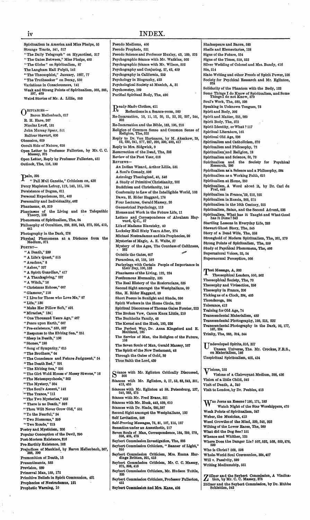iv INDEX. Spiritualism in America and Miss Phelps, 55 Strange Tracts, 341, 517 "The Daily Telegraph" on Hypnotism, 317 "The Gates Between," Miss Phelps, 493 "The Globe" on Spiritualism, <sup>87</sup> The Langham Hall Pulpit, 142 "The Theosophist," January, 1887, 77 "The Truthseeker" on Decay, 530<br>Variations in Consciousness, 141 Variations in Consciousness, 141 Weak and Strong Points of Spiritualism, 365, 385, 397, 409 Weird Stories of Mr. A. Lillie, 553 O **BITUARIES—** Baron Heilenbach, 617 R. H. Hare, 267 Nicolas Lvoff, 181 John Murray Spear, 511 Balfour Stewart, 606 Obsession, 609 Occult Side of Nature, 618 Open Letter to Professor Fullerton, by Mr. C. C. Massey, 375 Open Letter, Reply by Professor Fullerton, 451 Outlook, The, 116, 130  ${\bf P}^{\rm ain, \ 298}_{\rm \cdots \ 29}$ " Pall Mall Gazette," Criticism on, 438 Percy Mapleton Lefroy, 112,140,151,184 Persistence of Dogma, 611 Personal Experiences, 251, 403 Personality and Individuality, 462 Phantasms, 49, 319 Phantasms of the Living and the Telepathic Theory, 138 • Phenomena of Spiritualism, The, 94 Philosophy of Occultism, 289, 326, 343, 372, 395, 419, 441 Photography in the Dark, 278 Physical Phenomena at a Distance from the Medium, 371 Poetry— " A Death," 239 "<sup>A</sup> Life'<sup>s</sup> Quest," <sup>515</sup> " Arachne," 8 "Ashes," 337 " A Spirit Guardian," 417 " A Thanksgiving," 237 "<sup>A</sup> Witch," <sup>16</sup> " Christmas Echoes," 607 "Glamour," <sup>118</sup> " I Live for Those who Love Me," <sup>97</sup> " Life," 130 " Make Her Pillow Soft," 491 "Miracles," 134] " One Thousand Years Ago," 467 "Peace upon Earth," <sup>607</sup> "Pre-existence," 539, <sup>587</sup> " Response to the Ebbing Sea," 251 " Sleep in Death," 136 "Stones," <sup>199</sup> " Song of Sympathy," 615 "The Brothers," <sup>64</sup> " The Conscience and Future Judgment," 54 "The Death Bed." 291 "The Ebbing Sea," 235 " The Girt Wold House o' Mossy Stwone," 16 " The Metempsychosis," 363 "The Mystery," 384 " The Soul's Ascent," 142 " The Trance," 111 " The Two Mysteries," 563 " There is no Death," 392 " Thou Wilt Never Grow Old," 551 "To the Fearful," <sup>34</sup> " Two Blossoms," 359 " Two Roads," 213 Poetry and Mysticism, 206 Popular Conception of the Devil, 290 Post-Mortem Existence, 216 Pre-Earthly Existence, 182 Prejudices of Mankind, by Baron Heilenbach, 367, 388, 399 ' Premonition of Death, 15 Presentiments, 533 Prevision, 289 Primaeval Man, 159, 172

Primitive Beliefs in Spirit Communion, 431 Prophecies of Nostradamus, 121 **Prophetic Warning, 10**

Pseudo Mediums, 406 Pseudo Prophets, 521 Pseudo Science and Professor Huxley, 43, 189, 575 Psychographic Séance with Mr. Watkins, 502 Psychographic Seance with Mr. Wilson, 502 Psychography and Conjuring, 27, 42, 459 Psychography in California, 259 Psychology in Biography, 423 Psychological Society at Munich, A, <sup>31</sup> Psychometry, 169 Purified Spiritual Body, The, 490 Ready-Made Clothes, 411 Reflectionsin a Seance-room, 560 Re-Incarnation, 10, 11, 12, 20, 21, 22, 32, 207, 244, 303 Re-Incarnation and the Bible, 183, 195, 218 Religion of Common Sense and Common Sense of Religion, The, 322 Reply to Dr. Von Hartmann, by M. Aksakow, 29, 52, 230, 241, 277, 287, 320, 330, 400, 417 Reply to Mrs. Sidgwick, 9 Resurrection of the Dead, The, 338 Review of the Past Year, 616 Reviews— An Indian Wizard, Arthur Lillie, 531 A Soul's Comedy, 506 Astrology Theologized, 40, 546 A Study of Primitive'Christianity, 202 Buddhism and Christianity, 144 Conformity to Law of the Intelligible World, 103 Dawn, H. Rider Haggard, 178 Four Lectures, Gerald Massey, 26 Geometrical Psychology, 113 Homes and Work in the Future Life, 11 Letters and Correspondence of Abraham Hay-ward, Q.C., 57 Life of Madame Blavatsky, 40 Locksley Hall Sixty Years After, 274 Michael Nostradamus and his Prophecies, 99 Mysteries of Magic, A. E. Waite, 37 Mystery of the Ages, The Countess of Caithness, • 262 Outside the Gates, 607 Paracelsus, 40, 155, 163 Parleyings with Certain People of Importance in their Day, 100,133 Phantasms of the Living, 122, 224 Posthumous Humanity, 535 The Real History of the Rosicrucians, 535 Second Sight amongst the Westphalians, 99 She, H. Rider Haggard, 89 Short Poems in Sunlight and Shade, 596 Spirit Workersin the Home Circle, 250 Spiritual Discourses of Thomas Gales Forster, 223 The Broken Vow, Canon Knox Little, 210 The Buchholtz Family, 48 The Kernel and the Husk, 180, 226 The Perfect Way, Dr. Anna Kingsford and E. Maitland, 165 The Service of Man, the Religion of the Future, The Seven Souls of Man, Gerald Massey, 167 The Spirit of the New Testament, 48 Through the Gates of Gold, 39 Thus Saith the Lord, 439 Scances with Mr. Eglinton, 9, 17, 53, 83, 243, 301,<br>
413, 455<br>
413, 455 eance with Mr. Eglinton Critically Discussed, 300 Stances with Mr. Eglinton at St. Petersburg, 137, 240, 263, 275 Stance with Mr. Fred Evans, 321 Stances with Mr. Husk, 443, 539, 610 Seances with Dr. Slade, 285,387 Second Sight amongst the Westphalians, 120 Self Levitation, 556 Self-Proving Messages, 75, 81, 107, 115, 127 Sensation under an Anaesthetic, 217 Seven Souls of Man, Correspondence, 184, 259, 278, 356, 405, 478 Seybert Commission Investigation, The, 835 Seybert Commission Criticism, " Banner of Light," 355 Seybert Commission Criticism, Mrs. Emma Har-dinge Britten, 391, 415 Seybert Commission Criticism, Mr. C. C. Massey, 375, 398, 416

Seybert Commission Criticism, Mr. Hudson Tuttle, 885

Seybert Commission Criticism, Professor Fullerton, 451

**Seybert Commission and Mrs. Kane, 426**

Shakespeare and Bacon, 585 Shells and Elementaries, 128 Signs of the Future, 534 Signs of the Times, 510, 522 Silver Wedding of Colonel and Mrs. Bundy, 418 Sin, 214 Slate-Writing and other Proofs of Spirit Power, 106 Society for Psychical Research and Mr. Eglinton, 324 Solidarity of the Phantom with the Body, 122 Some Things I do Know of Spiritualism, and Some ThingsI do not Know, <sup>570</sup> Soul's Work, The, 580, 598 Speaking in Unknown Tongues, 73 Spirit and Body, 302 Spirit and Matter, 255, 260 Spirit Body, The, 372 Spirit Identity, orWhat ? 117 Spiritual Literature, 161 Spiritual Old Age, 236 Spiritualism and Catholicism, 370 Spiritualism and Philosophy, 72 Spiritualism'and Religion, 18 Spiritualism and Science, 50, 72 Spiritualism and the Society for Psychical Research, 286 Spiritualism as a Science and a Philosophy, 584 Spiritualism as a Working Faith, 615 Spiritualism at Home, <sup>250</sup> Spiritualism, A Word about it, by Dr. Carl du Prel, 448 Spiritualism in France, 59, 212, 225 Spiritualism in Russia, 263, 275 Spiritualism in the 16th Century, 255 Spiritualism, Satan, and the Second Advent, 536 Spiritualism, What has it Taught and What Good has it Done? <sup>343</sup> Startling Lessons in Everyday Life, 283 Stewart Ghost Story, The, 545 Story of a Dead Wife, The, <sup>358</sup> Stronghold of Modern Spiritualism, The, 261, 279 Strong Points of Spiritualism, The, 359 Study of Psychical Phenomena, The, 466 Supernatural Voices, 33, 54 Supernormal Perception, 566 Test Message, A, 303

Theosophical Leaders, 550, 562 Theosophical Society, The, 70 Theosophy and Vivisection, 256 Theosophy in France, 206 Tickingas of a Clock, 394, 405 Ticonderoga, 594 Tolerance, 412 Training for Old Age, 74 Transcendental Materialism, 489 Transcendental Photography, 199, 215, 232 Transcendental Photography in the Dark, 93, 177, 187, 234 Trinity, The, 283, 324, 344

TTndeveloped Spirits, 316, 327 Unseen Universe, The. Mr. Crookes, F.R.S., on Materialism, 146 Unspiritual Spiritualism, 402, 434

 $V$ isions, 152 ' Visions of a Clairvoyant Medium, 398, <sup>436</sup> Vision of a little Child, <sup>542</sup> Visit of Death, A, 340 Visit to London, by Dr. Peebles, 413

W as Jesus an Essene ? 160,171,183 Watch Night of the Star Worshippers, 475 Weak Points of Spiritualism, 347 Weber, the Musician, 413 Weed Growths of the Mind, 339, 345, 393 Wilting of the Lower Races, The, 260 What did the Dog See ? 151 Whence and Whither, 125 Where Does the Danger Lie? 507,532, 538, 559,578, 599 Who is Christ? 568, 598

Whole-World Soul Communion, 394,407 Will v. Passivity, 599 Writing Mediumship, 551

Z öllner and the Seybert Commission, A Vindica-<br>Lion, by Mr. C. C. Massey, 375<br>Zällner and the Seybert Commission, by Dr. Hübbe Zöllner and the Seybert Commission, by Dr. Hübbe<br>Schleiden, 543